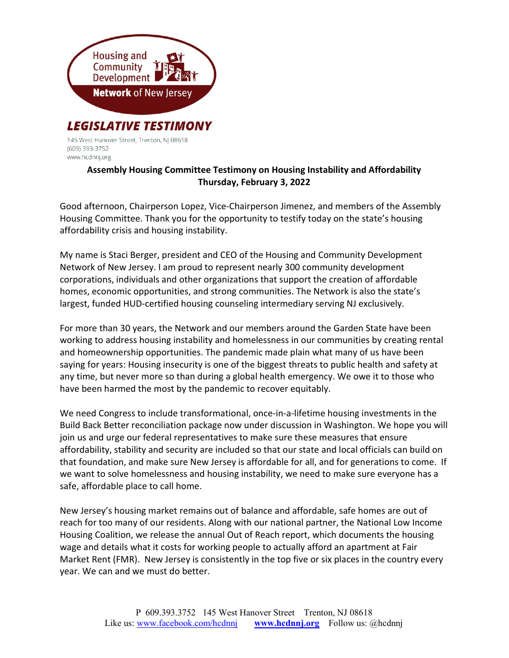

145 West Hanover Street, Trenton, NJ 08618 (609) 393-3752 www.hcdnnj.org

## Assembly Housing Committee Testimony on Housing Instability and Affordability Thursday, February 3, 2022

Good afternoon, Chairperson Lopez, Vice-Chairperson Jimenez, and members of the Assembly Housing Committee. Thank you for the opportunity to testify today on the state's housing affordability crisis and housing instability.

My name is Staci Berger, president and CEO of the Housing and Community Development Network of New Jersey. I am proud to represent nearly 300 community development corporations, individuals and other organizations that support the creation of affordable homes, economic opportunities, and strong communities. The Network is also the state's largest, funded HUD-certified housing counseling intermediary serving NJ exclusively.

For more than 30 years, the Network and our members around the Garden State have been working to address housing instability and homelessness in our communities by creating rental and homeownership opportunities. The pandemic made plain what many of us have been saying for years: Housing insecurity is one of the biggest threats to public health and safety at any time, but never more so than during a global health emergency. We owe it to those who have been harmed the most by the pandemic to recover equitably.

We need Congress to include transformational, once-in-a-lifetime housing investments in the Build Back Better reconciliation package now under discussion in Washington. We hope you will join us and urge our federal representatives to make sure these measures that ensure affordability, stability and security are included so that our state and local officials can build on that foundation, and make sure New Jersey is affordable for all, and for generations to come. If we want to solve homelessness and housing instability, we need to make sure everyone has a safe, affordable place to call home.

New Jersey's housing market remains out of balance and affordable, safe homes are out of reach for too many of our residents. Along with our national partner, the National Low Income Housing Coalition, we release the annual Out of Reach report, which documents the housing wage and details what it costs for working people to actually afford an apartment at Fair Market Rent (FMR). New Jersey is consistently in the top five or six places in the country every year. We can and we must do better.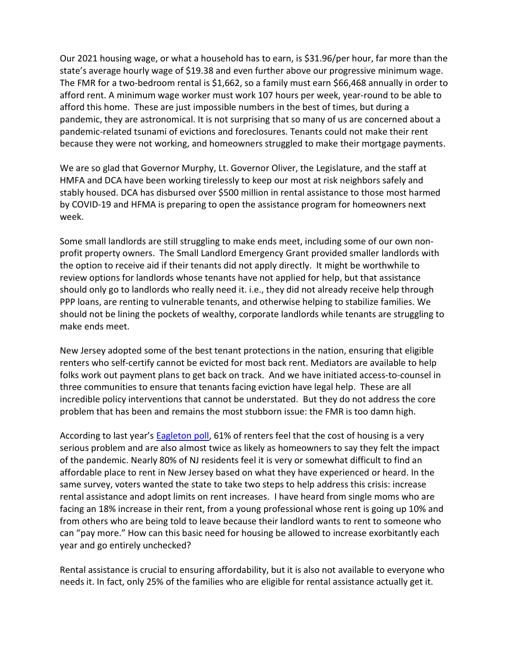Our 2021 housing wage, or what a household has to earn, is \$31.96/per hour, far more than the state's average hourly wage of \$19.38 and even further above our progressive minimum wage. The FMR for a two-bedroom rental is \$1,662, so a family must earn \$66,468 annually in order to afford rent. A minimum wage worker must work 107 hours per week, year-round to be able to afford this home. These are just impossible numbers in the best of times, but during a pandemic, they are astronomical. It is not surprising that so many of us are concerned about a pandemic-related tsunami of evictions and foreclosures. Tenants could not make their rent because they were not working, and homeowners struggled to make their mortgage payments.

We are so glad that Governor Murphy, Lt. Governor Oliver, the Legislature, and the staff at HMFA and DCA have been working tirelessly to keep our most at risk neighbors safely and stably housed. DCA has disbursed over \$500 million in rental assistance to those most harmed by COVID-19 and HFMA is preparing to open the assistance program for homeowners next week.

Some small landlords are still struggling to make ends meet, including some of our own nonprofit property owners. The Small Landlord Emergency Grant provided smaller landlords with the option to receive aid if their tenants did not apply directly. It might be worthwhile to review options for landlords whose tenants have not applied for help, but that assistance should only go to landlords who really need it. i.e., they did not already receive help through PPP loans, are renting to vulnerable tenants, and otherwise helping to stabilize families. We should not be lining the pockets of wealthy, corporate landlords while tenants are struggling to make ends meet.

New Jersey adopted some of the best tenant protections in the nation, ensuring that eligible renters who self-certify cannot be evicted for most back rent. Mediators are available to help folks work out payment plans to get back on track. And we have initiated access-to-counsel in three communities to ensure that tenants facing eviction have legal help. These are all incredible policy interventions that cannot be understated. But they do not address the core problem that has been and remains the most stubborn issue: the FMR is too damn high.

According to last year's Eagleton poll, 61% of renters feel that the cost of housing is a very serious problem and are also almost twice as likely as homeowners to say they felt the impact of the pandemic. Nearly 80% of NJ residents feel it is very or somewhat difficult to find an affordable place to rent in New Jersey based on what they have experienced or heard. In the same survey, voters wanted the state to take two steps to help address this crisis: increase rental assistance and adopt limits on rent increases. I have heard from single moms who are facing an 18% increase in their rent, from a young professional whose rent is going up 10% and from others who are being told to leave because their landlord wants to rent to someone who can "pay more." How can this basic need for housing be allowed to increase exorbitantly each year and go entirely unchecked?

Rental assistance is crucial to ensuring affordability, but it is also not available to everyone who needs it. In fact, only 25% of the families who are eligible for rental assistance actually get it.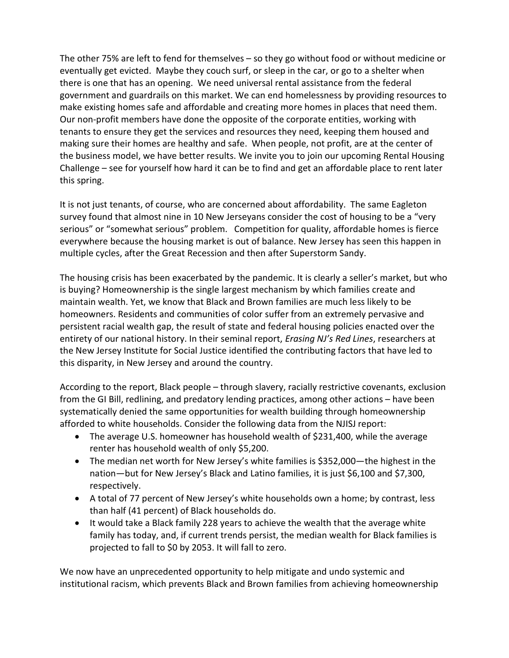The other 75% are left to fend for themselves – so they go without food or without medicine or eventually get evicted. Maybe they couch surf, or sleep in the car, or go to a shelter when there is one that has an opening. We need universal rental assistance from the federal government and guardrails on this market. We can end homelessness by providing resources to make existing homes safe and affordable and creating more homes in places that need them. Our non-profit members have done the opposite of the corporate entities, working with tenants to ensure they get the services and resources they need, keeping them housed and making sure their homes are healthy and safe. When people, not profit, are at the center of the business model, we have better results. We invite you to join our upcoming Rental Housing Challenge – see for yourself how hard it can be to find and get an affordable place to rent later this spring.

It is not just tenants, of course, who are concerned about affordability. The same Eagleton survey found that almost nine in 10 New Jerseyans consider the cost of housing to be a "very serious" or "somewhat serious" problem. Competition for quality, affordable homes is fierce everywhere because the housing market is out of balance. New Jersey has seen this happen in multiple cycles, after the Great Recession and then after Superstorm Sandy.

The housing crisis has been exacerbated by the pandemic. It is clearly a seller's market, but who is buying? Homeownership is the single largest mechanism by which families create and maintain wealth. Yet, we know that Black and Brown families are much less likely to be homeowners. Residents and communities of color suffer from an extremely pervasive and persistent racial wealth gap, the result of state and federal housing policies enacted over the entirety of our national history. In their seminal report, *Erasing NJ's Red Lines*, researchers at the New Jersey Institute for Social Justice identified the contributing factors that have led to this disparity, in New Jersey and around the country.

According to the report, Black people – through slavery, racially restrictive covenants, exclusion from the GI Bill, redlining, and predatory lending practices, among other actions – have been systematically denied the same opportunities for wealth building through homeownership afforded to white households. Consider the following data from the NJISJ report:

- The average U.S. homeowner has household wealth of \$231,400, while the average renter has household wealth of only \$5,200.
- The median net worth for New Jersey's white families is \$352,000—the highest in the nation—but for New Jersey's Black and Latino families, it is just \$6,100 and \$7,300, respectively.
- A total of 77 percent of New Jersey's white households own a home; by contrast, less than half (41 percent) of Black households do.
- It would take a Black family 228 years to achieve the wealth that the average white family has today, and, if current trends persist, the median wealth for Black families is projected to fall to \$0 by 2053. It will fall to zero.

We now have an unprecedented opportunity to help mitigate and undo systemic and institutional racism, which prevents Black and Brown families from achieving homeownership